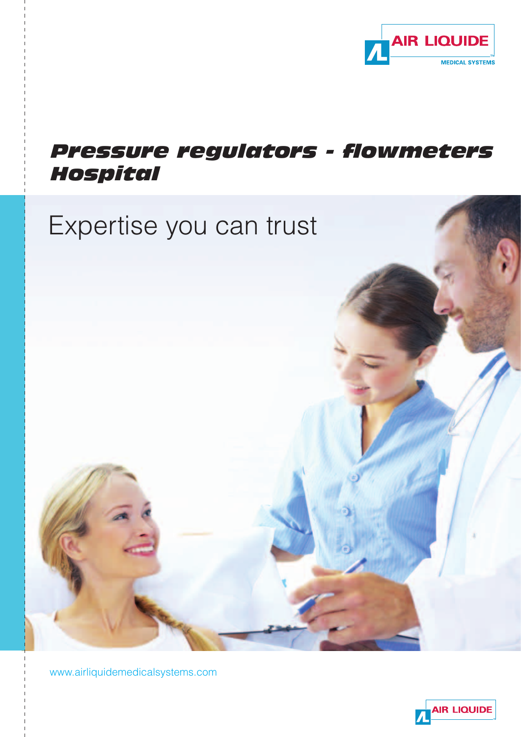

### *Pressure regulators - flowmeters Hospital*



www.airliquidemedicalsystems.com

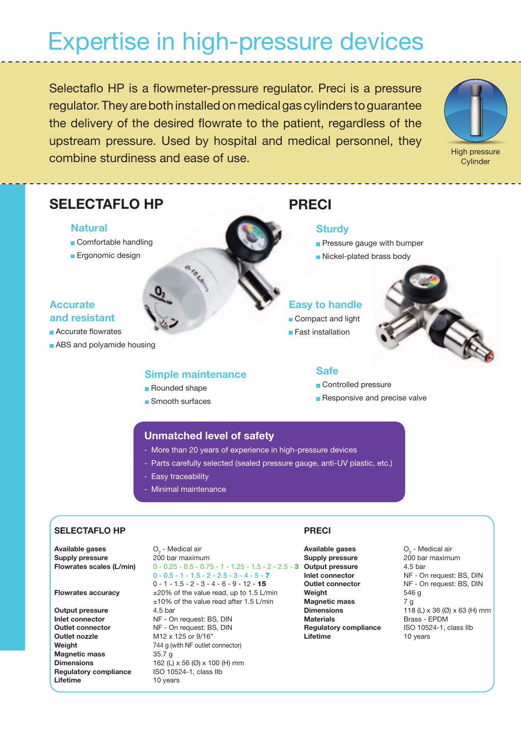# Expertise in high-pressure devices

Selectaflo HP is a flowmeter-pressure regulator. Preci is a pressure regulator. They are both installed on medical gas cylinders to guarantee the delivery of the desired flowrate to the patient, regardless of the upstream pressure. Used by hospital and medical personnel, they combine sturdiness and ease of use. This is a combine sturdiness and ease of use.



**Cylinder** 

#### **SELECTAFLO HP PRECI**

#### **Natural**

- **Comfortable handling**
- **Ergonomic design**

#### **Accurate and resistant**

**Accurate flowrates** 

**ABS** and polyamide housing

#### **Simple maintenance**

ans LA

- Rounded shape
- Smooth surfaces

#### **Sturdy**

- **Pressure gauge with bumper**
- Nickel-plated brass body

#### **Easy to handle**

- Compact and light
- **Fast installation**



#### **Safe**

- Controlled pressure
- **Responsive and precise valve**

#### **Unmatched level of safety**

- More than 20 years of experience in high-pressure devices
- Parts carefully selected (sealed pressure gauge, anti-UV plastic, etc.)
- Easy traceability
- Minimal maintenance

#### **SELECTAFLO HP**

**Available gases<br>Supply pressure** 

**Output pressure** 4.5 bar **Outlet nozzle** M12 x 125 or 9/16" **Magnetic mass** 35.7 g **Regulatory compliance** ISO 10524-1, class IIb **Lifetime** 10 years

#### - Medical air **Supply pressure** 200 bar maximum **Flowrates scales (L/min)** 0 - 0.25 - 0.5 - 0.75 - 1 - 1.25 - 1.5 - 2 - 2.5 - 3 **Output pressure** 4.5 bar  $0 - 0.5 - 1 - 1.5 - 2 - 2.5 - 3 - 4 - 5 - 7$  $0 - 1 - 1.5 - 2 - 3 - 4 - 6 - 9 - 12 - 15$ **Flowrates accuracy**  $\pm 20\%$  of the value read, up to 1.5 L/min ±10% of the value read after 1.5 L/min **Inlet connector** NF - On request: BS, DIN **Outlet connector** NF - On request: BS, DIN **Weight** 744 g (with NF outlet connector) **Dimensions** 162 (L) x 56 (Ø) x 100 (H) mm

#### **PRECI**

**Available gases<br>Supply pressure Weight** 546 g **Magnetic mass** 7 g **Materials Brass - EPDM Regulatory compliance** ISO 10524-1, class IIb **Lifetime** 10 years

O<sub>2</sub> - Medical air **Supply pressure** 200 bar maximum **Inlet connector** NF - On request: BS, DIN **Outlet connector** NF - On request: BS, DIN **Dimensions** 118 (L) x 36 (Ø) x 63 (H) mm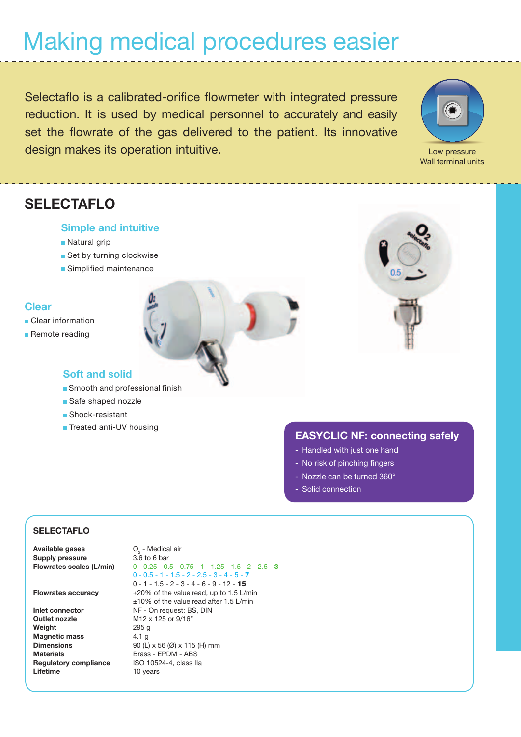# Making medical procedures easier

Selectaflo is a calibrated-orifice flowmeter with integrated pressure reduction. It is used by medical personnel to accurately and easily set the flowrate of the gas delivered to the patient. Its innovative design makes its operation intuitive.



Wall terminal units

### **SELECTAFLO**

#### **Simple and intuitive**

- Natural grip
- Set by turning clockwise
- **Simplified maintenance**

#### **Clear**

- **Clear information**
- Remote reading



#### **Soft and solid**

- Smooth and professional finish
- Safe shaped nozzle
- Shock-resistant
- **Treated anti-UV housing**

#### **EASYCLIC NF: connecting safely**

- Handled with just one hand
- No risk of pinching fingers
- Nozzle can be turned 360°
- Solid connection

#### **SELECTAFLO**

**Available gases**  $O_2$  - Medica<br> **Supply pressure** 3.6 to 6 bar **Supply pressure** 

**Outlet nozzle** M12 x 125 or 9/16" **Weight** 295 g **Magnetic mass** 4.1 g **Materials** Brass - EPDM - ABS **Regulatory compliance** ISO 10524-4, class IIa **Lifetime** 10 years

O<sub>2</sub> - Medical air **Flowrates scales (L/min)** 0 - 0.25 - 0.5 - 0.75 - 1 - 1.25 - 1.5 - 2 - 2.5 - 3  $0 - 0.5 - 1 - 1.5 - 2 - 2.5 - 3 - 4 - 5 - 7$  $0 - 1 - 1.5 - 2 - 3 - 4 - 6 - 9 - 12 - 15$ **Flowrates accuracy**  $\pm 20\%$  of the value read, up to 1.5 L/min ±10% of the value read after 1.5 L/min **Inlet connector** NF - On request: BS, DIN **Dimensions** 90 (L) x 56 (Ø) x 115 (H) mm